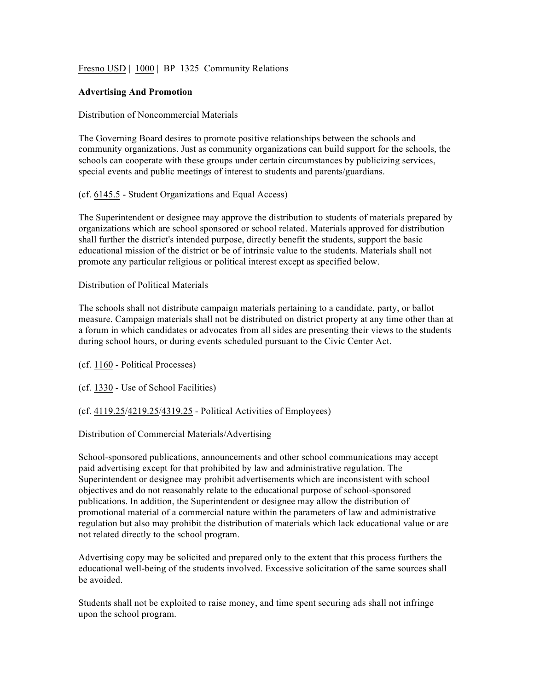Fresno USD | 1000 | BP 1325 Community Relations

### **Advertising And Promotion**

### Distribution of Noncommercial Materials

The Governing Board desires to promote positive relationships between the schools and community organizations. Just as community organizations can build support for the schools, the schools can cooperate with these groups under certain circumstances by publicizing services, special events and public meetings of interest to students and parents/guardians.

## (cf. 6145.5 - Student Organizations and Equal Access)

The Superintendent or designee may approve the distribution to students of materials prepared by organizations which are school sponsored or school related. Materials approved for distribution shall further the district's intended purpose, directly benefit the students, support the basic educational mission of the district or be of intrinsic value to the students. Materials shall not promote any particular religious or political interest except as specified below.

Distribution of Political Materials

The schools shall not distribute campaign materials pertaining to a candidate, party, or ballot measure. Campaign materials shall not be distributed on district property at any time other than at a forum in which candidates or advocates from all sides are presenting their views to the students during school hours, or during events scheduled pursuant to the Civic Center Act.

(cf. 1160 - Political Processes)

(cf. 1330 - Use of School Facilities)

# (cf. 4119.25/4219.25/4319.25 - Political Activities of Employees)

### Distribution of Commercial Materials/Advertising

School-sponsored publications, announcements and other school communications may accept paid advertising except for that prohibited by law and administrative regulation. The Superintendent or designee may prohibit advertisements which are inconsistent with school objectives and do not reasonably relate to the educational purpose of school-sponsored publications. In addition, the Superintendent or designee may allow the distribution of promotional material of a commercial nature within the parameters of law and administrative regulation but also may prohibit the distribution of materials which lack educational value or are not related directly to the school program.

Advertising copy may be solicited and prepared only to the extent that this process furthers the educational well-being of the students involved. Excessive solicitation of the same sources shall be avoided.

Students shall not be exploited to raise money, and time spent securing ads shall not infringe upon the school program.